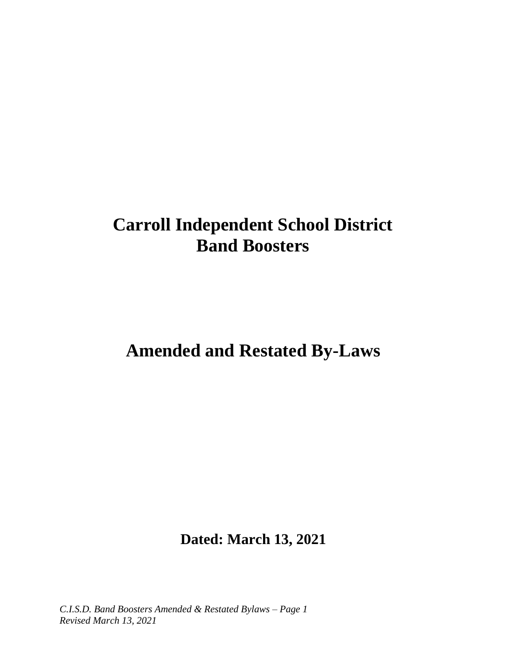# **Carroll Independent School District Band Boosters**

# **Amended and Restated By-Laws**

**Dated: March 13, 2021**

*C.I.S.D. Band Boosters Amended & Restated Bylaws – Page 1 Revised March 13, 2021*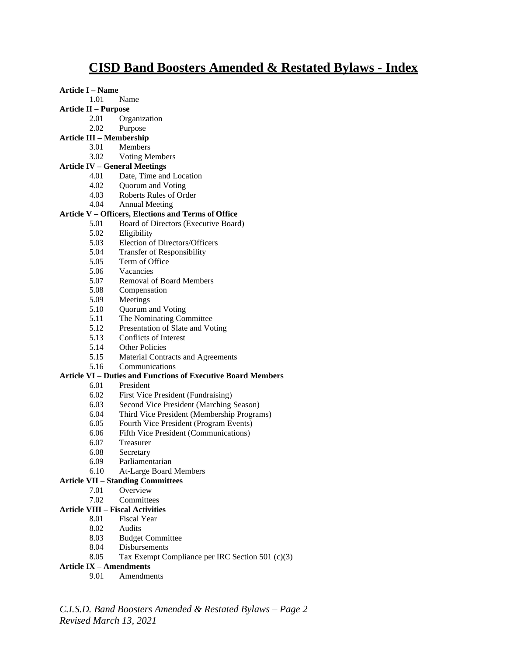# **CISD Band Boosters Amended & Restated Bylaws - Index**

**Article I – Name**

- 1.01 Name
- **Article II – Purpose**
	- 2.01 Organization
	- 2.02 Purpose
- **Article III – Membership**
	- 3.01 Members
	- 3.02 Voting Members

#### **Article IV – General Meetings**

- 4.01 Date, Time and Location
- 4.02 Quorum and Voting
- 4.03 Roberts Rules of Order
- 4.04 Annual Meeting

#### **Article V – Officers, Elections and Terms of Office**

- 5.01 Board of Directors (Executive Board)
- 5.02 Eligibility
- 5.03 Election of Directors/Officers
- 5.04 Transfer of Responsibility
- 5.05 Term of Office
- 5.06 Vacancies
- 5.07 Removal of Board Members
- 5.08 Compensation
- 5.09 Meetings
- 5.10 Quorum and Voting
- 5.11 The Nominating Committee
- 5.12 Presentation of Slate and Voting
- 5.13 Conflicts of Interest
- 5.14 Other Policies
- 5.15 Material Contracts and Agreements
- 5.16 Communications

#### **Article VI – Duties and Functions of Executive Board Members**

- 6.01 President
- 6.02 First Vice President (Fundraising)
- 6.03 Second Vice President (Marching Season)
- 6.04 Third Vice President (Membership Programs)
- 6.05 Fourth Vice President (Program Events)
- 6.06 Fifth Vice President (Communications)
- 6.07 Treasurer
- 6.08 Secretary
- 6.09 Parliamentarian
- 6.10 At-Large Board Members

#### **Article VII – Standing Committees**

- 7.01 Overview
- 7.02 Committees

#### **Article VIII – Fiscal Activities**

- 8.01 Fiscal Year
- 8.02 Audits
- 8.03 Budget Committee
- 8.04 Disbursements
- 8.05 Tax Exempt Compliance per IRC Section 501 (c)(3)

#### **Article IX – Amendments**

9.01 Amendments

*C.I.S.D. Band Boosters Amended & Restated Bylaws – Page 2 Revised March 13, 2021*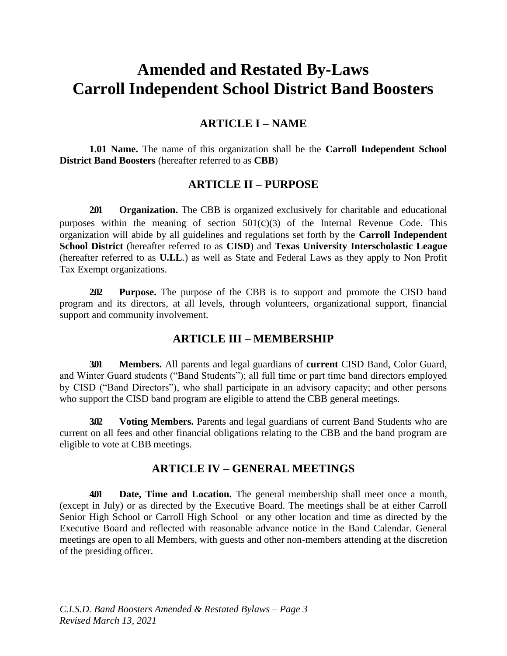# **Amended and Restated By-Laws Carroll Independent School District Band Boosters**

## **ARTICLE I – NAME**

**1.01 Name.** The name of this organization shall be the **Carroll Independent School District Band Boosters** (hereafter referred to as **CBB**)

## **ARTICLE II – PURPOSE**

**2.01 Organization.** The CBB is organized exclusively for charitable and educational purposes within the meaning of section  $501(c)(3)$  of the Internal Revenue Code. This organization will abide by all guidelines and regulations set forth by the **Carroll Independent School District** (hereafter referred to as **CISD**) and **Texas University Interscholastic League**  (hereafter referred to as **U.I.L**.) as well as State and Federal Laws as they apply to Non Profit Tax Exempt organizations.

**2.02 Purpose.** The purpose of the CBB is to support and promote the CISD band program and its directors, at all levels, through volunteers, organizational support, financial support and community involvement.

## **ARTICLE III – MEMBERSHIP**

**3.01 Members.** All parents and legal guardians of **current** CISD Band, Color Guard, and Winter Guard students ("Band Students"); all full time or part time band directors employed by CISD ("Band Directors"), who shall participate in an advisory capacity; and other persons who support the CISD band program are eligible to attend the CBB general meetings.

**3.02 Voting Members.** Parents and legal guardians of current Band Students who are current on all fees and other financial obligations relating to the CBB and the band program are eligible to vote at CBB meetings.

## **ARTICLE IV – GENERAL MEETINGS**

**4.01 Date, Time and Location.** The general membership shall meet once a month, (except in July) or as directed by the Executive Board. The meetings shall be at either Carroll Senior High School or Carroll High School or any other location and time as directed by the Executive Board and reflected with reasonable advance notice in the Band Calendar. General meetings are open to all Members, with guests and other non-members attending at the discretion of the presiding officer.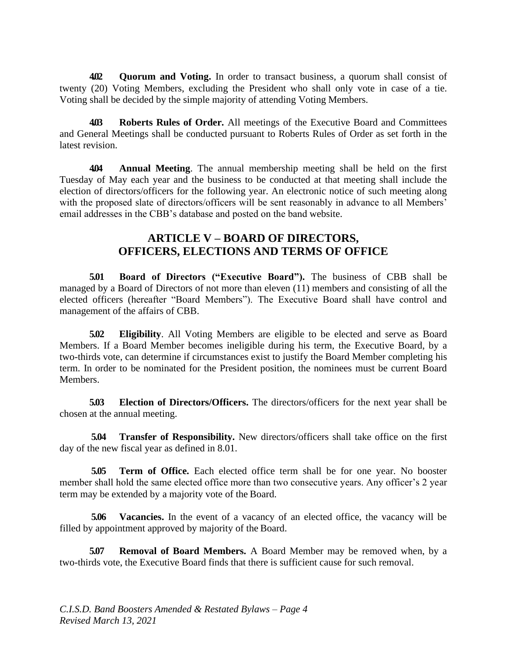**4.02 Quorum and Voting.** In order to transact business, a quorum shall consist of twenty (20) Voting Members, excluding the President who shall only vote in case of a tie. Voting shall be decided by the simple majority of attending Voting Members.

**4.03 Roberts Rules of Order.** All meetings of the Executive Board and Committees and General Meetings shall be conducted pursuant to Roberts Rules of Order as set forth in the latest revision.

**4.04 Annual Meeting**. The annual membership meeting shall be held on the first Tuesday of May each year and the business to be conducted at that meeting shall include the election of directors/officers for the following year. An electronic notice of such meeting along with the proposed slate of directors/officers will be sent reasonably in advance to all Members' email addresses in the CBB's database and posted on the band website.

## **ARTICLE V – BOARD OF DIRECTORS, OFFICERS, ELECTIONS AND TERMS OF OFFICE**

**5.01 Board of Directors ("Executive Board").** The business of CBB shall be managed by a Board of Directors of not more than eleven (11) members and consisting of all the elected officers (hereafter "Board Members"). The Executive Board shall have control and management of the affairs of CBB.

**5.02 Eligibility**. All Voting Members are eligible to be elected and serve as Board Members. If a Board Member becomes ineligible during his term, the Executive Board, by a two-thirds vote, can determine if circumstances exist to justify the Board Member completing his term. In order to be nominated for the President position, the nominees must be current Board Members.

**5.03 Election of Directors/Officers.** The directors/officers for the next year shall be chosen at the annual meeting.

**5.04 Transfer of Responsibility.** New directors/officers shall take office on the first day of the new fiscal year as defined in 8.01.

**5.05 Term of Office.** Each elected office term shall be for one year. No booster member shall hold the same elected office more than two consecutive years. Any officer's 2 year term may be extended by a majority vote of the Board.

**5.06 Vacancies.** In the event of a vacancy of an elected office, the vacancy will be filled by appointment approved by majority of the Board.

**5.07 Removal of Board Members.** A Board Member may be removed when, by a two-thirds vote, the Executive Board finds that there is sufficient cause for such removal.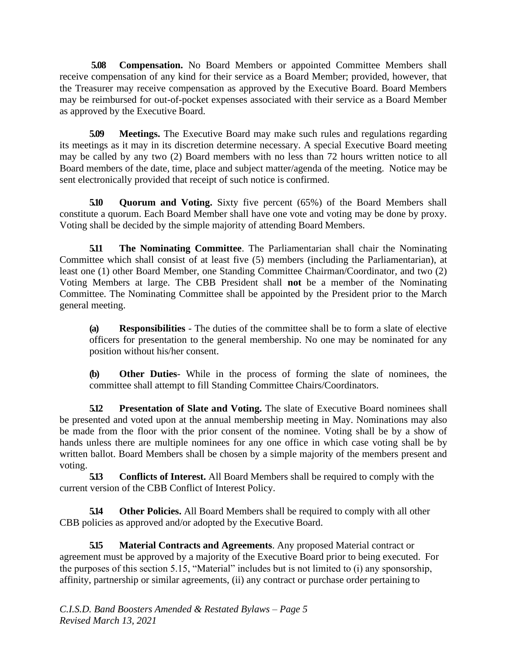**5.08 Compensation.** No Board Members or appointed Committee Members shall receive compensation of any kind for their service as a Board Member; provided, however, that the Treasurer may receive compensation as approved by the Executive Board. Board Members may be reimbursed for out-of-pocket expenses associated with their service as a Board Member as approved by the Executive Board.

**5.09 Meetings.** The Executive Board may make such rules and regulations regarding its meetings as it may in its discretion determine necessary. A special Executive Board meeting may be called by any two (2) Board members with no less than 72 hours written notice to all Board members of the date, time, place and subject matter/agenda of the meeting. Notice may be sent electronically provided that receipt of such notice is confirmed.

**5.10 Quorum and Voting.** Sixty five percent (65%) of the Board Members shall constitute a quorum. Each Board Member shall have one vote and voting may be done by proxy. Voting shall be decided by the simple majority of attending Board Members.

**5.11 The Nominating Committee**. The Parliamentarian shall chair the Nominating Committee which shall consist of at least five (5) members (including the Parliamentarian), at least one (1) other Board Member, one Standing Committee Chairman/Coordinator, and two (2) Voting Members at large. The CBB President shall **not** be a member of the Nominating Committee. The Nominating Committee shall be appointed by the President prior to the March general meeting.

**(a) Responsibilities** - The duties of the committee shall be to form a slate of elective officers for presentation to the general membership. No one may be nominated for any position without his/her consent.

**(b) Other Duties**- While in the process of forming the slate of nominees, the committee shall attempt to fill Standing Committee Chairs/Coordinators.

**5.12 Presentation of Slate and Voting.** The slate of Executive Board nominees shall be presented and voted upon at the annual membership meeting in May. Nominations may also be made from the floor with the prior consent of the nominee. Voting shall be by a show of hands unless there are multiple nominees for any one office in which case voting shall be by written ballot. Board Members shall be chosen by a simple majority of the members present and voting.

**5.13 Conflicts of Interest.** All Board Members shall be required to comply with the current version of the CBB Conflict of Interest Policy.

**5.14 Other Policies.** All Board Members shall be required to comply with all other CBB policies as approved and/or adopted by the Executive Board.

**5.15 Material Contracts and Agreements**. Any proposed Material contract or agreement must be approved by a majority of the Executive Board prior to being executed. For the purposes of this section 5.15, "Material" includes but is not limited to (i) any sponsorship, affinity, partnership or similar agreements, (ii) any contract or purchase order pertaining to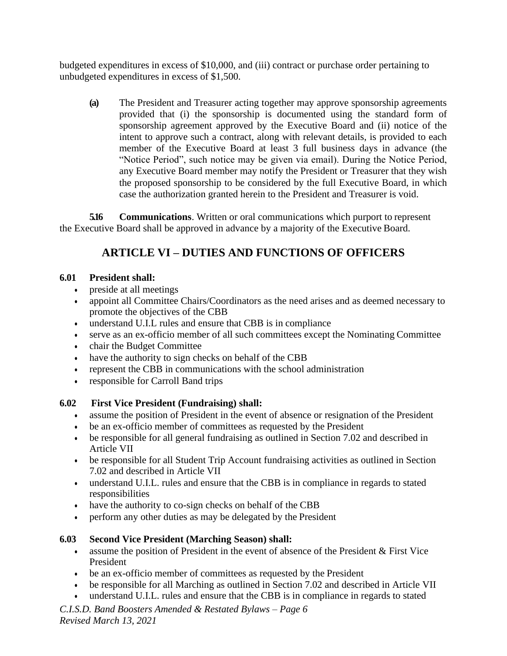budgeted expenditures in excess of \$10,000, and (iii) contract or purchase order pertaining to unbudgeted expenditures in excess of \$1,500.

**(a)** The President and Treasurer acting together may approve sponsorship agreements provided that (i) the sponsorship is documented using the standard form of sponsorship agreement approved by the Executive Board and (ii) notice of the intent to approve such a contract, along with relevant details, is provided to each member of the Executive Board at least 3 full business days in advance (the "Notice Period", such notice may be given via email). During the Notice Period, any Executive Board member may notify the President or Treasurer that they wish the proposed sponsorship to be considered by the full Executive Board, in which case the authorization granted herein to the President and Treasurer is void.

**5.16 Communications**. Written or oral communications which purport to represent the Executive Board shall be approved in advance by a majority of the Executive Board.

# **ARTICLE VI – DUTIES AND FUNCTIONS OF OFFICERS**

## **6.01 President shall:**

- preside at all meetings
- appoint all Committee Chairs/Coordinators as the need arises and as deemed necessary to promote the objectives of the CBB
- understand U.I.L rules and ensure that CBB is in compliance
- serve as an ex-officio member of all such committees except the Nominating Committee
- chair the Budget Committee
- have the authority to sign checks on behalf of the CBB
- represent the CBB in communications with the school administration
- responsible for Carroll Band trips

## **6.02 First Vice President (Fundraising) shall:**

- assume the position of President in the event of absence or resignation of the President
- be an ex-officio member of committees as requested by the President
- be responsible for all general fundraising as outlined in Section 7.02 and described in Article VII
- be responsible for all Student Trip Account fundraising activities as outlined in Section 7.02 and described in Article VII
- understand U.I.L. rules and ensure that the CBB is in compliance in regards to stated responsibilities
- have the authority to co-sign checks on behalf of the CBB
- perform any other duties as may be delegated by the President

## **6.03 Second Vice President (Marching Season) shall:**

- assume the position of President in the event of absence of the President & First Vice President
- be an ex-officio member of committees as requested by the President
- be responsible for all Marching as outlined in Section 7.02 and described in Article VII
- understand U.I.L. rules and ensure that the CBB is in compliance in regards to stated

*C.I.S.D. Band Boosters Amended & Restated Bylaws – Page 6 Revised March 13, 2021*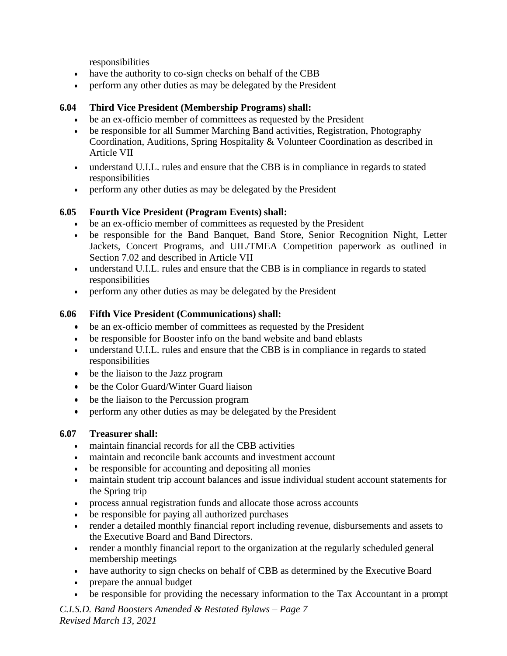responsibilities

- have the authority to co-sign checks on behalf of the CBB
- perform any other duties as may be delegated by the President

#### **6.04 Third Vice President (Membership Programs) shall:**

- be an ex-officio member of committees as requested by the President
- be responsible for all Summer Marching Band activities, Registration, Photography Coordination, Auditions, Spring Hospitality & Volunteer Coordination as described in Article VII
- understand U.I.L. rules and ensure that the CBB is in compliance in regards to stated responsibilities
- perform any other duties as may be delegated by the President

## **6.05 Fourth Vice President (Program Events) shall:**

- be an ex-officio member of committees as requested by the President
- be responsible for the Band Banquet, Band Store, Senior Recognition Night, Letter Jackets, Concert Programs, and UIL/TMEA Competition paperwork as outlined in Section 7.02 and described in Article VII
- understand U.I.L. rules and ensure that the CBB is in compliance in regards to stated responsibilities
- perform any other duties as may be delegated by the President

## **6.06 Fifth Vice President (Communications) shall:**

- be an ex-officio member of committees as requested by the President
- be responsible for Booster info on the band website and band eblasts
- understand U.I.L. rules and ensure that the CBB is in compliance in regards to stated responsibilities
- be the liaison to the Jazz program
- be the Color Guard/Winter Guard liaison
- be the liaison to the Percussion program
- perform any other duties as may be delegated by the President

## **6.07 Treasurer shall:**

- maintain financial records for all the CBB activities
- maintain and reconcile bank accounts and investment account
- be responsible for accounting and depositing all monies
- maintain student trip account balances and issue individual student account statements for the Spring trip
- process annual registration funds and allocate those across accounts
- be responsible for paying all authorized purchases
- render a detailed monthly financial report including revenue, disbursements and assets to the Executive Board and Band Directors.
- render a monthly financial report to the organization at the regularly scheduled general membership meetings
- have authority to sign checks on behalf of CBB as determined by the Executive Board
- prepare the annual budget
- be responsible for providing the necessary information to the Tax Accountant in a prompt

*C.I.S.D. Band Boosters Amended & Restated Bylaws – Page 7 Revised March 13, 2021*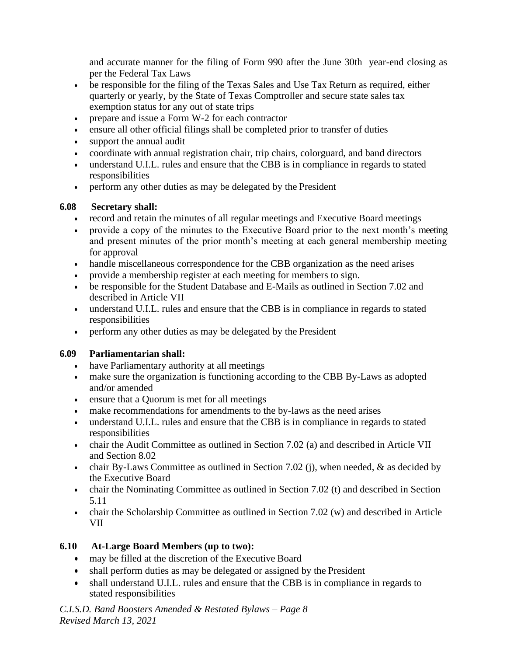and accurate manner for the filing of Form 990 after the June 30th year-end closing as per the Federal Tax Laws

- be responsible for the filing of the Texas Sales and Use Tax Return as required, either quarterly or yearly, by the State of Texas Comptroller and secure state sales tax exemption status for any out of state trips
- prepare and issue a Form W-2 for each contractor
- ensure all other official filings shall be completed prior to transfer of duties
- support the annual audit
- coordinate with annual registration chair, trip chairs, colorguard, and band directors
- understand U.I.L. rules and ensure that the CBB is in compliance in regards to stated responsibilities
- perform any other duties as may be delegated by the President

#### **6.08 Secretary shall:**

- record and retain the minutes of all regular meetings and Executive Board meetings
- provide a copy of the minutes to the Executive Board prior to the next month's meeting and present minutes of the prior month's meeting at each general membership meeting for approval
- handle miscellaneous correspondence for the CBB organization as the need arises
- provide a membership register at each meeting for members to sign.
- be responsible for the Student Database and E-Mails as outlined in Section 7.02 and described in Article VII
- understand U.I.L. rules and ensure that the CBB is in compliance in regards to stated responsibilities
- perform any other duties as may be delegated by the President

## **6.09 Parliamentarian shall:**

- have Parliamentary authority at all meetings
- make sure the organization is functioning according to the CBB By-Laws as adopted and/or amended
- ensure that a Quorum is met for all meetings
- make recommendations for amendments to the by-laws as the need arises
- understand U.I.L. rules and ensure that the CBB is in compliance in regards to stated responsibilities
- chair the Audit Committee as outlined in Section 7.02 (a) and described in Article VII and Section 8.02
- chair By-Laws Committee as outlined in Section 7.02 (j), when needed,  $\&$  as decided by the Executive Board
- chair the Nominating Committee as outlined in Section 7.02 (t) and described in Section 5.11
- chair the Scholarship Committee as outlined in Section 7.02 (w) and described in Article VII

## **6.10 At-Large Board Members (up to two):**

- may be filled at the discretion of the Executive Board
- shall perform duties as may be delegated or assigned by the President
- shall understand U.I.L. rules and ensure that the CBB is in compliance in regards to stated responsibilities

*C.I.S.D. Band Boosters Amended & Restated Bylaws – Page 8 Revised March 13, 2021*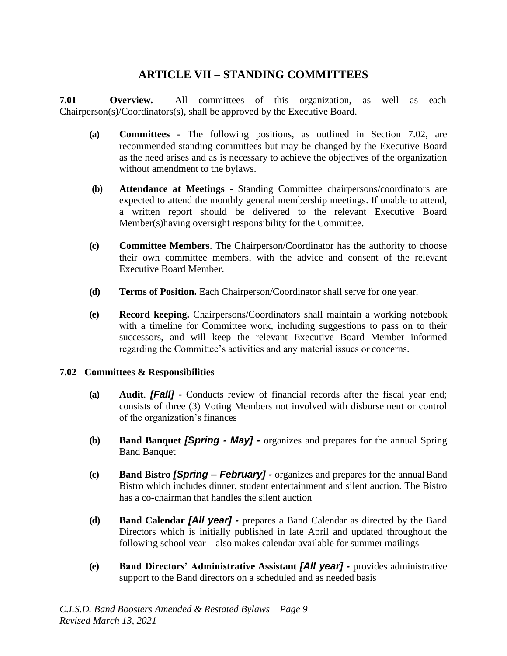## **ARTICLE VII – STANDING COMMITTEES**

**7.01 Overview.** All committees of this organization, as well as each Chairperson(s)/Coordinators(s), shall be approved by the Executive Board.

- **(a) Committees -** The following positions, as outlined in Section 7.02, are recommended standing committees but may be changed by the Executive Board as the need arises and as is necessary to achieve the objectives of the organization without amendment to the bylaws.
- **(b) Attendance at Meetings -** Standing Committee chairpersons/coordinators are expected to attend the monthly general membership meetings. If unable to attend, a written report should be delivered to the relevant Executive Board Member(s)having oversight responsibility for the Committee.
- **(c) Committee Members**. The Chairperson/Coordinator has the authority to choose their own committee members, with the advice and consent of the relevant Executive Board Member.
- **(d) Terms of Position.** Each Chairperson/Coordinator shall serve for one year.
- **(e) Record keeping.** Chairpersons/Coordinators shall maintain a working notebook with a timeline for Committee work, including suggestions to pass on to their successors, and will keep the relevant Executive Board Member informed regarding the Committee's activities and any material issues or concerns.

#### **7.02 Committees & Responsibilities**

- **(a) Audit**. *[Fall]*  Conducts review of financial records after the fiscal year end; consists of three (3) Voting Members not involved with disbursement or control of the organization's finances
- **(b) Band Banquet** *[Spring - May] -* organizes and prepares for the annual Spring Band Banquet
- **(c) Band Bistro** *[Spring February]* **-** organizes and prepares for the annual Band Bistro which includes dinner, student entertainment and silent auction. The Bistro has a co-chairman that handles the silent auction
- **(d) Band Calendar** *[All year] -* prepares a Band Calendar as directed by the Band Directors which is initially published in late April and updated throughout the following school year – also makes calendar available for summer mailings
- **(e) Band Directors' Administrative Assistant** *[All year] -* provides administrative support to the Band directors on a scheduled and as needed basis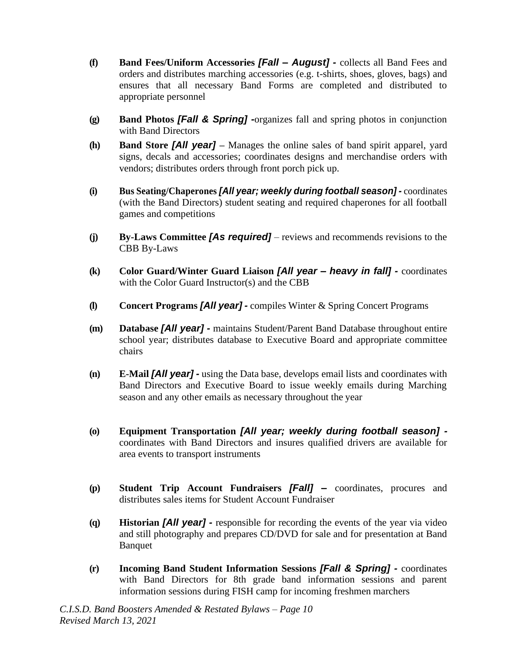- **(f) Band Fees/Uniform Accessories** *[Fall – August] -* collects all Band Fees and orders and distributes marching accessories (e.g. t-shirts, shoes, gloves, bags) and ensures that all necessary Band Forms are completed and distributed to appropriate personnel
- **(g) Band Photos** *[Fall & Spring] -*organizes fall and spring photos in conjunction with Band Directors
- **(h) Band Store** *[All year] –* Manages the online sales of band spirit apparel, yard signs, decals and accessories; coordinates designs and merchandise orders with vendors; distributes orders through front porch pick up.
- **(i) Bus Seating/Chaperones** *[All year; weekly during football season] -* coordinates (with the Band Directors) student seating and required chaperones for all football games and competitions
- **(j) By-Laws Committee** *[As required]*  reviews and recommends revisions to the CBB By-Laws
- **(k) Color Guard/Winter Guard Liaison** *[All year – heavy in fall] -* coordinates with the Color Guard Instructor(s) and the CBB
- **(l) Concert Programs** *[All year] -* compiles Winter & Spring Concert Programs
- **(m) Database** *[All year] -* maintains Student/Parent Band Database throughout entire school year; distributes database to Executive Board and appropriate committee chairs
- **(n) E-Mail** *[All year] -* using the Data base, develops email lists and coordinates with Band Directors and Executive Board to issue weekly emails during Marching season and any other emails as necessary throughout the year
- **(o) Equipment Transportation** *[All year; weekly during football season]*  coordinates with Band Directors and insures qualified drivers are available for area events to transport instruments
- **(p) Student Trip Account Fundraisers** *[Fall] –* coordinates, procures and distributes sales items for Student Account Fundraiser
- **(q) Historian** *[All year] -* responsible for recording the events of the year via video and still photography and prepares CD/DVD for sale and for presentation at Band Banquet
- **(r) Incoming Band Student Information Sessions** *[Fall & Spring] -* coordinates with Band Directors for 8th grade band information sessions and parent information sessions during FISH camp for incoming freshmen marchers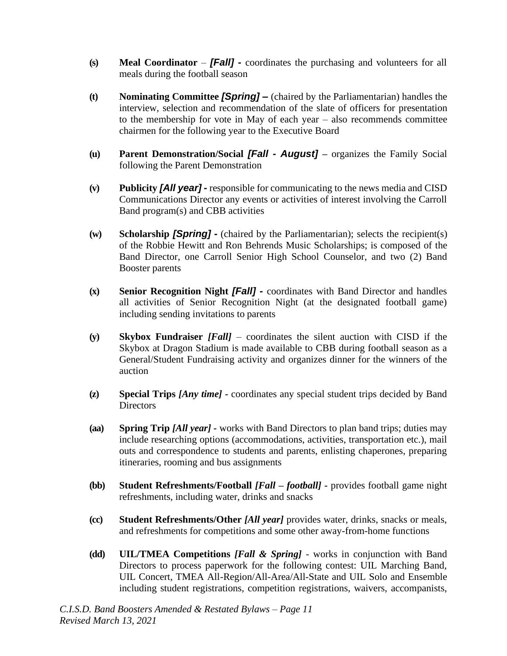- **(s) Meal Coordinator**  *[Fall] -* coordinates the purchasing and volunteers for all meals during the football season
- **(t) Nominating Committee** *[Spring] –* (chaired by the Parliamentarian) handles the interview, selection and recommendation of the slate of officers for presentation to the membership for vote in May of each year – also recommends committee chairmen for the following year to the Executive Board
- **(u) Parent Demonstration/Social** *[Fall - August]* **–** organizes the Family Social following the Parent Demonstration
- **(v) Publicity** *[All year] -* responsible for communicating to the news media and CISD Communications Director any events or activities of interest involving the Carroll Band program(s) and CBB activities
- **(w) Scholarship** *[Spring] -* (chaired by the Parliamentarian); selects the recipient(s) of the Robbie Hewitt and Ron Behrends Music Scholarships; is composed of the Band Director, one Carroll Senior High School Counselor, and two (2) Band Booster parents
- **(x) Senior Recognition Night** *[Fall] -* coordinates with Band Director and handles all activities of Senior Recognition Night (at the designated football game) including sending invitations to parents
- **(y) Skybox Fundraiser** *[Fall]*  coordinates the silent auction with CISD if the Skybox at Dragon Stadium is made available to CBB during football season as a General/Student Fundraising activity and organizes dinner for the winners of the auction
- **(z) Special Trips** *[Any time] -* coordinates any special student trips decided by Band **Directors**
- **(aa) Spring Trip** *[All year] -* works with Band Directors to plan band trips; duties may include researching options (accommodations, activities, transportation etc.), mail outs and correspondence to students and parents, enlisting chaperones, preparing itineraries, rooming and bus assignments
- **(bb) Student Refreshments/Football** *[Fall – football] -* provides football game night refreshments, including water, drinks and snacks
- **(cc) Student Refreshments/Other** *[All year]* provides water, drinks, snacks or meals, and refreshments for competitions and some other away-from-home functions
- **(dd) UIL/TMEA Competitions** *[Fall & Spring]* works in conjunction with Band Directors to process paperwork for the following contest: UIL Marching Band, UIL Concert, TMEA All-Region/All-Area/All-State and UIL Solo and Ensemble including student registrations, competition registrations, waivers, accompanists,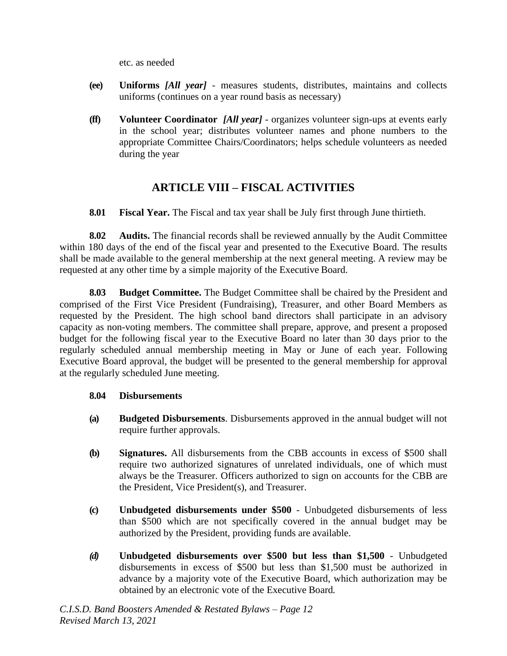etc. as needed

- **(ee) Uniforms** *[All year]* measures students, distributes, maintains and collects uniforms (continues on a year round basis as necessary)
- **(ff) Volunteer Coordinator** *[All year]* organizes volunteer sign-ups at events early in the school year; distributes volunteer names and phone numbers to the appropriate Committee Chairs/Coordinators; helps schedule volunteers as needed during the year

## **ARTICLE VIII – FISCAL ACTIVITIES**

**8.01 Fiscal Year.** The Fiscal and tax year shall be July first through June thirtieth.

**8.02 Audits.** The financial records shall be reviewed annually by the Audit Committee within 180 days of the end of the fiscal year and presented to the Executive Board. The results shall be made available to the general membership at the next general meeting. A review may be requested at any other time by a simple majority of the Executive Board.

**8.03 Budget Committee.** The Budget Committee shall be chaired by the President and comprised of the First Vice President (Fundraising), Treasurer, and other Board Members as requested by the President. The high school band directors shall participate in an advisory capacity as non-voting members. The committee shall prepare, approve, and present a proposed budget for the following fiscal year to the Executive Board no later than 30 days prior to the regularly scheduled annual membership meeting in May or June of each year. Following Executive Board approval, the budget will be presented to the general membership for approval at the regularly scheduled June meeting.

#### **8.04 Disbursements**

- **(a) Budgeted Disbursements**. Disbursements approved in the annual budget will not require further approvals.
- **(b) Signatures.** All disbursements from the CBB accounts in excess of \$500 shall require two authorized signatures of unrelated individuals, one of which must always be the Treasurer. Officers authorized to sign on accounts for the CBB are the President, Vice President(s), and Treasurer.
- **(c) Unbudgeted disbursements under \$500**  Unbudgeted disbursements of less than \$500 which are not specifically covered in the annual budget may be authorized by the President, providing funds are available.
- *(d)* **Unbudgeted disbursements over \$500 but less than \$1,500**  Unbudgeted disbursements in excess of \$500 but less than \$1,500 must be authorized in advance by a majority vote of the Executive Board, which authorization may be obtained by an electronic vote of the Executive Board*.*